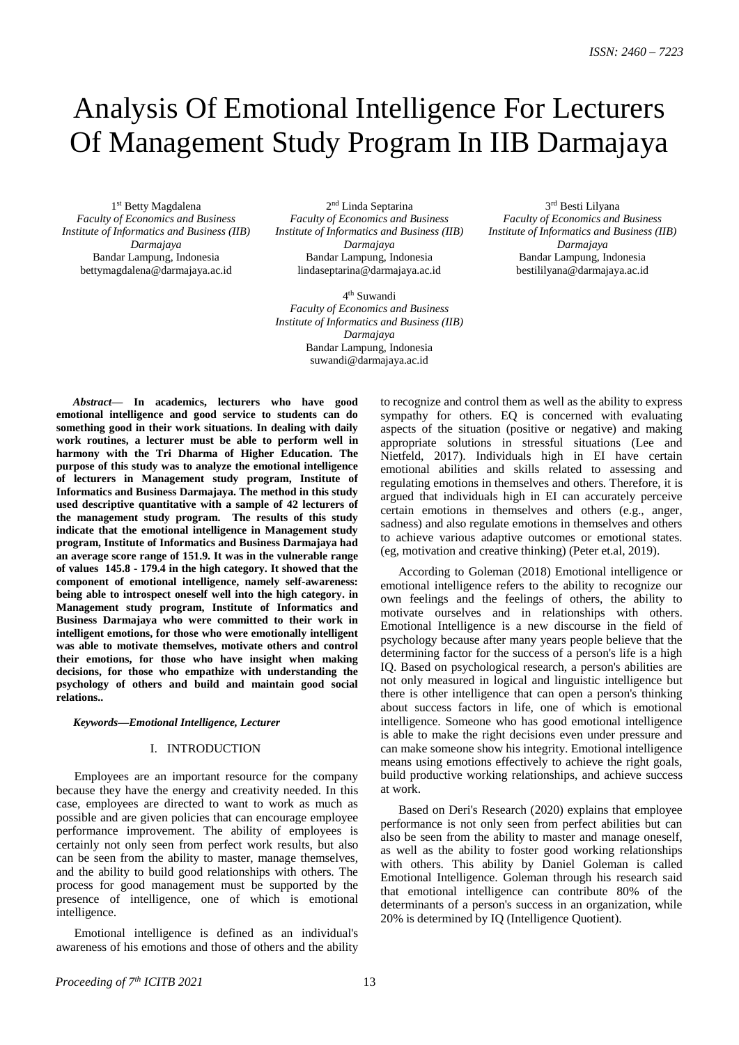3 rd Besti Lilyana *Faculty of Economics and Business Institute of Informatics and Business (IIB) Darmajaya* Bandar Lampung, Indonesia bestililyana@darmajaya.ac.id

# Analysis Of Emotional Intelligence For Lecturers Of Management Study Program In IIB Darmajaya

1 st Betty Magdalena *Faculty of Economics and Business Institute of Informatics and Business (IIB) Darmajaya* Bandar Lampung, Indonesia bettymagdalena@darmajaya.ac.id

2<sup>nd</sup> Linda Septarina *Faculty of Economics and Business Institute of Informatics and Business (IIB) Darmajaya* Bandar Lampung, Indonesia [lindaseptarina@darmajaya.ac.id](mailto:lindaseptarina@darmajaya.ac.id)

4 th Suwandi *Faculty of Economics and Business Institute of Informatics and Business (IIB) Darmajaya* Bandar Lampung, Indonesia suwandi@darmajaya.ac.id

*Abstract***— In academics, lecturers who have good emotional intelligence and good service to students can do something good in their work situations. In dealing with daily work routines, a lecturer must be able to perform well in harmony with the Tri Dharma of Higher Education. The purpose of this study was to analyze the emotional intelligence of lecturers in Management study program, Institute of Informatics and Business Darmajaya. The method in this study used descriptive quantitative with a sample of 42 lecturers of the management study program. The results of this study indicate that the emotional intelligence in Management study program, Institute of Informatics and Business Darmajaya had an average score range of 151.9. It was in the vulnerable range of values 145.8 - 179.4 in the high category. It showed that the component of emotional intelligence, namely self-awareness: being able to introspect oneself well into the high category. in Management study program, Institute of Informatics and Business Darmajaya who were committed to their work in intelligent emotions, for those who were emotionally intelligent was able to motivate themselves, motivate others and control their emotions, for those who have insight when making decisions, for those who empathize with understanding the psychology of others and build and maintain good social relations..**

# *Keywords—Emotional Intelligence, Lecturer*

# I. INTRODUCTION

Employees are an important resource for the company because they have the energy and creativity needed. In this case, employees are directed to want to work as much as possible and are given policies that can encourage employee performance improvement. The ability of employees is certainly not only seen from perfect work results, but also can be seen from the ability to master, manage themselves, and the ability to build good relationships with others. The process for good management must be supported by the presence of intelligence, one of which is emotional intelligence.

Emotional intelligence is defined as an individual's awareness of his emotions and those of others and the ability to recognize and control them as well as the ability to express sympathy for others. EQ is concerned with evaluating aspects of the situation (positive or negative) and making appropriate solutions in stressful situations (Lee and Nietfeld, 2017). Individuals high in EI have certain emotional abilities and skills related to assessing and regulating emotions in themselves and others. Therefore, it is argued that individuals high in EI can accurately perceive certain emotions in themselves and others (e.g., anger, sadness) and also regulate emotions in themselves and others to achieve various adaptive outcomes or emotional states. (eg, motivation and creative thinking) (Peter et.al, 2019).

According to Goleman (2018) Emotional intelligence or emotional intelligence refers to the ability to recognize our own feelings and the feelings of others, the ability to motivate ourselves and in relationships with others. Emotional Intelligence is a new discourse in the field of psychology because after many years people believe that the determining factor for the success of a person's life is a high IQ. Based on psychological research, a person's abilities are not only measured in logical and linguistic intelligence but there is other intelligence that can open a person's thinking about success factors in life, one of which is emotional intelligence. Someone who has good emotional intelligence is able to make the right decisions even under pressure and can make someone show his integrity. Emotional intelligence means using emotions effectively to achieve the right goals, build productive working relationships, and achieve success at work.

Based on Deri's Research (2020) explains that employee performance is not only seen from perfect abilities but can also be seen from the ability to master and manage oneself, as well as the ability to foster good working relationships with others. This ability by Daniel Goleman is called Emotional Intelligence. Goleman through his research said that emotional intelligence can contribute 80% of the determinants of a person's success in an organization, while 20% is determined by IQ (Intelligence Quotient).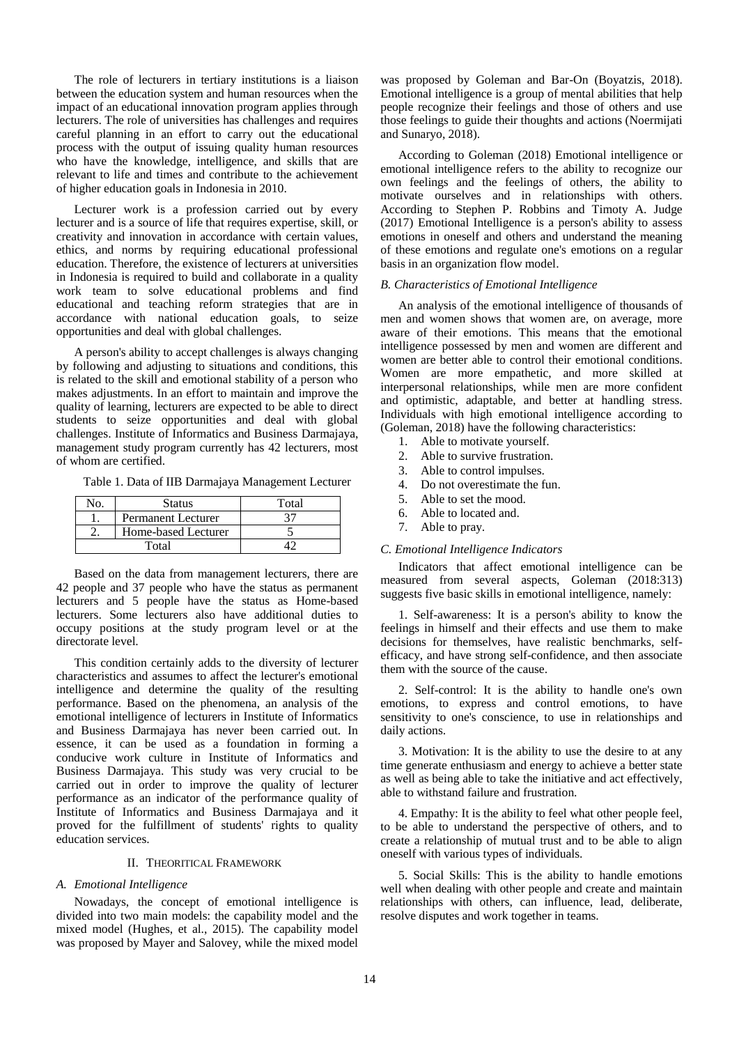The role of lecturers in tertiary institutions is a liaison between the education system and human resources when the impact of an educational innovation program applies through lecturers. The role of universities has challenges and requires careful planning in an effort to carry out the educational process with the output of issuing quality human resources who have the knowledge, intelligence, and skills that are relevant to life and times and contribute to the achievement of higher education goals in Indonesia in 2010.

Lecturer work is a profession carried out by every lecturer and is a source of life that requires expertise, skill, or creativity and innovation in accordance with certain values, ethics, and norms by requiring educational professional education. Therefore, the existence of lecturers at universities in Indonesia is required to build and collaborate in a quality work team to solve educational problems and find educational and teaching reform strategies that are in accordance with national education goals, to seize opportunities and deal with global challenges.

A person's ability to accept challenges is always changing by following and adjusting to situations and conditions, this is related to the skill and emotional stability of a person who makes adjustments. In an effort to maintain and improve the quality of learning, lecturers are expected to be able to direct students to seize opportunities and deal with global challenges. Institute of Informatics and Business Darmajaya, management study program currently has 42 lecturers, most of whom are certified.

Table 1. Data of IIB Darmajaya Management Lecturer

| No. | Status                    | Total |  |  |
|-----|---------------------------|-------|--|--|
|     | <b>Permanent Lecturer</b> |       |  |  |
|     | Home-based Lecturer       |       |  |  |
|     | $\rm Total$               |       |  |  |

Based on the data from management lecturers, there are 42 people and 37 people who have the status as permanent lecturers and 5 people have the status as Home-based lecturers. Some lecturers also have additional duties to occupy positions at the study program level or at the directorate level.

This condition certainly adds to the diversity of lecturer characteristics and assumes to affect the lecturer's emotional intelligence and determine the quality of the resulting performance. Based on the phenomena, an analysis of the emotional intelligence of lecturers in Institute of Informatics and Business Darmajaya has never been carried out. In essence, it can be used as a foundation in forming a conducive work culture in Institute of Informatics and Business Darmajaya. This study was very crucial to be carried out in order to improve the quality of lecturer performance as an indicator of the performance quality of Institute of Informatics and Business Darmajaya and it proved for the fulfillment of students' rights to quality education services.

# II. THEORITICAL FRAMEWORK

# *A. Emotional Intelligence*

Nowadays, the concept of emotional intelligence is divided into two main models: the capability model and the mixed model (Hughes, et al., 2015). The capability model was proposed by Mayer and Salovey, while the mixed model

was proposed by Goleman and Bar-On (Boyatzis, 2018). Emotional intelligence is a group of mental abilities that help people recognize their feelings and those of others and use those feelings to guide their thoughts and actions (Noermijati and Sunaryo, 2018).

According to Goleman (2018) Emotional intelligence or emotional intelligence refers to the ability to recognize our own feelings and the feelings of others, the ability to motivate ourselves and in relationships with others. According to Stephen P. Robbins and Timoty A. Judge (2017) Emotional Intelligence is a person's ability to assess emotions in oneself and others and understand the meaning of these emotions and regulate one's emotions on a regular basis in an organization flow model.

#### *B. Characteristics of Emotional Intelligence*

An analysis of the emotional intelligence of thousands of men and women shows that women are, on average, more aware of their emotions. This means that the emotional intelligence possessed by men and women are different and women are better able to control their emotional conditions. Women are more empathetic, and more skilled at interpersonal relationships, while men are more confident and optimistic, adaptable, and better at handling stress. Individuals with high emotional intelligence according to (Goleman, 2018) have the following characteristics:

- 1. Able to motivate yourself.
- 2. Able to survive frustration.
- 3. Able to control impulses.
- 4. Do not overestimate the fun.
- 5. Able to set the mood.
- 6. Able to located and.
- 7. Able to pray.

# *C. Emotional Intelligence Indicators*

Indicators that affect emotional intelligence can be measured from several aspects, Goleman (2018:313) suggests five basic skills in emotional intelligence, namely:

1. Self-awareness: It is a person's ability to know the feelings in himself and their effects and use them to make decisions for themselves, have realistic benchmarks, selfefficacy, and have strong self-confidence, and then associate them with the source of the cause.

2. Self-control: It is the ability to handle one's own emotions, to express and control emotions, to have sensitivity to one's conscience, to use in relationships and daily actions.

3. Motivation: It is the ability to use the desire to at any time generate enthusiasm and energy to achieve a better state as well as being able to take the initiative and act effectively, able to withstand failure and frustration.

4. Empathy: It is the ability to feel what other people feel, to be able to understand the perspective of others, and to create a relationship of mutual trust and to be able to align oneself with various types of individuals.

5. Social Skills: This is the ability to handle emotions well when dealing with other people and create and maintain relationships with others, can influence, lead, deliberate, resolve disputes and work together in teams.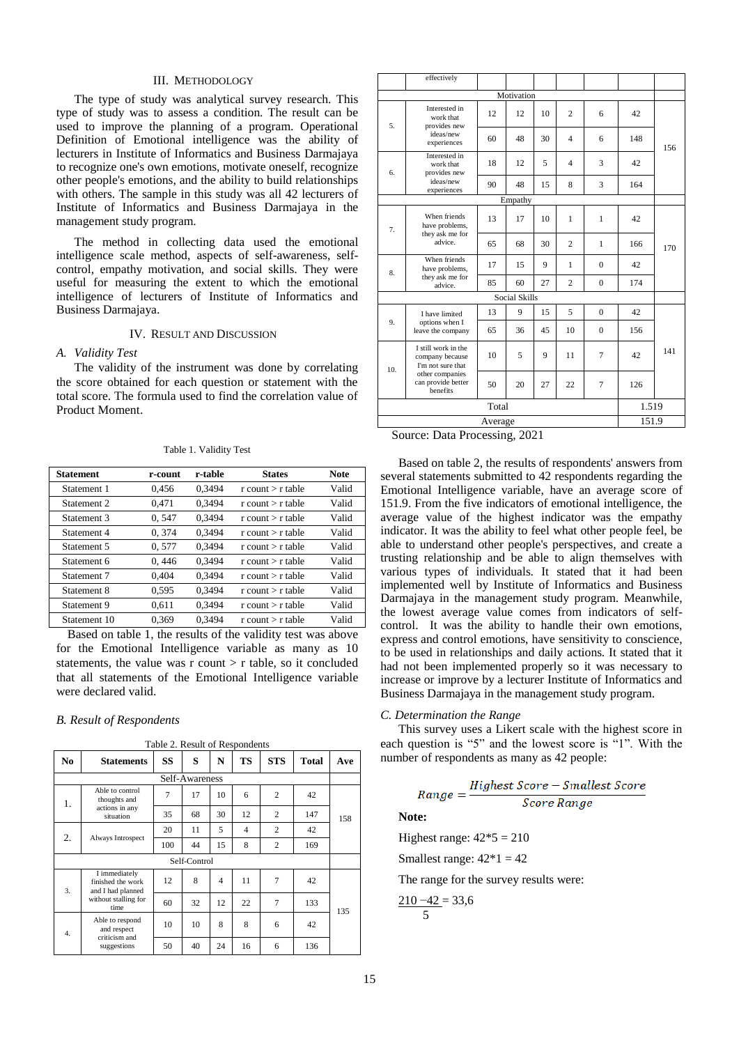# III. METHODOLOGY

The type of study was analytical survey research. This type of study was to assess a condition. The result can be used to improve the planning of a program. Operational Definition of Emotional intelligence was the ability of lecturers in Institute of Informatics and Business Darmajaya to recognize one's own emotions, motivate oneself, recognize other people's emotions, and the ability to build relationships with others. The sample in this study was all 42 lecturers of Institute of Informatics and Business Darmajaya in the management study program.

The method in collecting data used the emotional intelligence scale method, aspects of self-awareness, selfcontrol, empathy motivation, and social skills. They were useful for measuring the extent to which the emotional intelligence of lecturers of Institute of Informatics and Business Darmajaya.

# IV. RESULT AND DISCUSSION

# *A. Validity Test*

The validity of the instrument was done by correlating the score obtained for each question or statement with the total score. The formula used to find the correlation value of Product Moment.

| Table 1. Validity Test |  |  |
|------------------------|--|--|
|------------------------|--|--|

| <b>Statement</b> | r-count | r-table | <b>States</b>            | <b>Note</b> |
|------------------|---------|---------|--------------------------|-------------|
| Statement 1      | 0,456   | 0.3494  | $r$ count $\geq r$ table | Valid       |
| Statement 2      | 0.471   | 0.3494  | $r$ count $\gt r$ table  | Valid       |
| Statement 3      | 0.547   | 0.3494  | $r$ count $\geq r$ table | Valid       |
| Statement 4      | 0,374   | 0.3494  | $r$ count $\geq r$ table | Valid       |
| Statement 5      | 0.577   | 0.3494  | $r$ count $\gt r$ table  | Valid       |
| Statement 6      | 0,446   | 0.3494  | $r$ count $\geq r$ table | Valid       |
| Statement 7      | 0,404   | 0.3494  | $r$ count $\geq r$ table | Valid       |
| Statement 8      | 0.595   | 0.3494  | $r$ count $\geq r$ table | Valid       |
| Statement 9      | 0,611   | 0.3494  | $r$ count $\gt r$ table  | Valid       |
| Statement 10     | 0.369   | 0.3494  | $r$ count $\geq r$ table | Valid       |

Based on table 1, the results of the validity test was above for the Emotional Intelligence variable as many as 10 statements, the value was  $r$  count  $>r$  table, so it concluded that all statements of the Emotional Intelligence variable were declared valid.

#### *B. Result of Respondents*

| N <sub>0</sub>                                                       | <b>Statements</b>              | SS  | S              | N              | <b>TS</b>      | <b>STS</b>     | <b>Total</b> | Ave |
|----------------------------------------------------------------------|--------------------------------|-----|----------------|----------------|----------------|----------------|--------------|-----|
|                                                                      |                                |     | Self-Awareness |                |                |                |              |     |
| Able to control<br>thoughts and<br>1.<br>actions in any<br>situation | 7                              | 17  | 10             | 6              | $\overline{c}$ | 42             |              |     |
|                                                                      | 35                             | 68  | 30             | 12             | $\overline{c}$ | 147            | 158          |     |
|                                                                      |                                | 20  | 11             | 5              | $\overline{4}$ | $\overline{c}$ | 42           |     |
| 2.                                                                   | Always Introspect              | 100 | 44             | 15             | 8              | $\overline{2}$ | 169          |     |
| Self-Control                                                         |                                |     |                |                |                |                |              |     |
| I immediately<br>3.<br>and I had planned<br>time                     | finished the work              | 12  | 8              | $\overline{4}$ | 11             | $\overline{7}$ | 42           |     |
|                                                                      | without stalling for           | 60  | 32             | 12             | 22             | 7              | 133          | 135 |
| 4.                                                                   | Able to respond<br>and respect | 10  | 10             | 8              | 8              | 6              | 42           |     |
|                                                                      | criticism and<br>suggestions   | 50  | 40             | 24             | 16             | 6              | 136          |     |

Table 2. Result of Respondents

|                                                                              | effectively                                                 |       |         |                |                |              |       |     |
|------------------------------------------------------------------------------|-------------------------------------------------------------|-------|---------|----------------|----------------|--------------|-------|-----|
| Motivation                                                                   |                                                             |       |         |                |                |              |       |     |
| Interested in<br>work that<br>5.<br>provides new<br>ideas/new<br>experiences | 12                                                          | 12    | 10      | $\overline{c}$ | 6              | 42           |       |     |
|                                                                              | 60                                                          | 48    | 30      | $\overline{4}$ | 6              | 148          | 156   |     |
| б.                                                                           | Interested in<br>work that<br>provides new                  | 18    | 12      | 5              | $\overline{4}$ | 3            | 42    |     |
|                                                                              | ideas/new<br>experiences                                    | 90    | 48      | 15             | 8              | 3            | 164   |     |
|                                                                              |                                                             |       | Empathy |                |                |              |       |     |
| 7.                                                                           | When friends<br>have problems,                              | 13    | 17      | 10             | 1              | 1            | 42    |     |
|                                                                              | they ask me for<br>advice.                                  | 65    | 68      | 30             | $\overline{c}$ | 1            | 166   | 170 |
| 8.                                                                           | When friends<br>have problems,                              | 17    | 15      | 9              | 1              | $\theta$     | 42    |     |
|                                                                              | they ask me for<br>advice.                                  | 85    | 60      | 27             | $\overline{c}$ | $\mathbf{0}$ | 174   |     |
|                                                                              | <b>Social Skills</b>                                        |       |         |                |                |              |       |     |
|                                                                              | I have limited                                              | 13    | 9       | 15             | 5              | $\mathbf{0}$ | 42    |     |
| 9.                                                                           | options when I<br>leave the company                         | 65    | 36      | 45             | 10             | $\Omega$     | 156   |     |
| 10.                                                                          | I still work in the<br>company because<br>I'm not sure that | 10    | 5       | 9              | 11             | 7            | 42    | 141 |
|                                                                              | other companies<br>can provide better<br><b>benefits</b>    | 50    | 20      | 27             | 22             | 7            | 126   |     |
|                                                                              |                                                             | Total |         |                |                |              | 1.519 |     |
|                                                                              | Average                                                     |       |         |                |                |              | 151.9 |     |
|                                                                              |                                                             |       |         |                |                |              |       |     |

# Source: Data Processing, 2021

Based on table 2, the results of respondents' answers from several statements submitted to 42 respondents regarding the Emotional Intelligence variable, have an average score of 151.9. From the five indicators of emotional intelligence, the average value of the highest indicator was the empathy indicator. It was the ability to feel what other people feel, be able to understand other people's perspectives, and create a trusting relationship and be able to align themselves with various types of individuals. It stated that it had been implemented well by Institute of Informatics and Business Darmajaya in the management study program. Meanwhile, the lowest average value comes from indicators of selfcontrol. It was the ability to handle their own emotions, express and control emotions, have sensitivity to conscience, to be used in relationships and daily actions. It stated that it had not been implemented properly so it was necessary to increase or improve by a lecturer Institute of Informatics and Business Darmajaya in the management study program.

# *C. Determination the Range*

This survey uses a Likert scale with the highest score in each question is "5" and the lowest score is "1". With the number of respondents as many as 42 people:

$$
Range = \frac{Higher\ Score - Smallest\ Score}{Score\ Range}
$$

**Note:**

Highest range:  $42*5 = 210$ 

Smallest range:  $42*1 = 42$ 

The range for the survey results were:

 $210 - 42 = 33,6$ 5